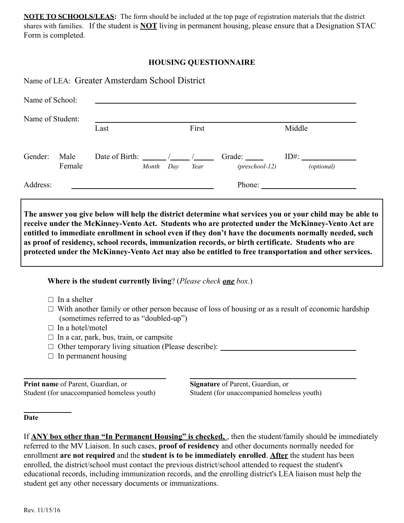**NOTE TO SCHOOLS/LEAS:** The form should be included at the top page of registration materials that the district shares with families. If the student is **NOT** living in permanent housing, please ensure that a Designation STAC Form is completed.

# **HOUSING QUESTIONNAIRE**

| Name of Student: |                | Last |  | First |                                          | Middle                                                                                                                                                                                                                                                                                                                                                                                                       |  |
|------------------|----------------|------|--|-------|------------------------------------------|--------------------------------------------------------------------------------------------------------------------------------------------------------------------------------------------------------------------------------------------------------------------------------------------------------------------------------------------------------------------------------------------------------------|--|
| Gender:          | Male<br>Female |      |  |       | Month Day Year (preschool-12) (optional) | Date of Birth: $\frac{1}{\sqrt{1-\frac{1}{1-\frac{1}{1-\frac{1}{1-\frac{1}{1-\frac{1}{1-\frac{1}{1-\frac{1}{1-\frac{1}{1-\frac{1}{1-\frac{1}{1-\frac{1}{1-\frac{1}{1-\frac{1}{1-\frac{1}{1-\frac{1}{1-\frac{1}{1-\frac{1}{1-\frac{1}{1-\frac{1}{1-\frac{1}{1-\frac{1}{1-\frac{1}{1-\frac{1}{1-\frac{1}{1-\frac{1}{1-\frac{1}{1-\frac{1}{1-\frac{1}{1-\frac{1}{1-\frac{1}{1-\frac{1}{1-\frac{1}{1-\frac{1$    |  |
| Address:         |                |      |  |       |                                          | Phone: $\frac{1}{\sqrt{1-\frac{1}{2}}\sqrt{1-\frac{1}{2}}\sqrt{1-\frac{1}{2}}\sqrt{1-\frac{1}{2}}\sqrt{1-\frac{1}{2}}\sqrt{1-\frac{1}{2}}\sqrt{1-\frac{1}{2}}\sqrt{1-\frac{1}{2}}\sqrt{1-\frac{1}{2}}\sqrt{1-\frac{1}{2}}\sqrt{1-\frac{1}{2}}\sqrt{1-\frac{1}{2}}\sqrt{1-\frac{1}{2}}\sqrt{1-\frac{1}{2}}\sqrt{1-\frac{1}{2}}\sqrt{1-\frac{1}{2}}\sqrt{1-\frac{1}{2}}\sqrt{1-\frac{1}{2}}\sqrt{1-\frac{1}{2$ |  |

# **Where is the student currently living**? (*Please check one box.*)

 $\Box$  In a shelter

 $\Box$  With another family or other person because of loss of housing or as a result of economic hardship (sometimes referred to as "doubled-up")

- $\Box$  In a hotel/motel
- $\Box$  In a car, park, bus, train, or campsite
- $\Box$  Other temporary living situation (Please describe):
- $\Box$  In permanent housing

**Print name** of Parent, Guardian, or **Signature** of Parent, Guardian, or

Student (for unaccompanied homeless youth) Student (for unaccompanied homeless youth)

#### **Date**

If **ANY box other than "In Permanent Housing" is checked,** , then the student/family should be immediately referred to the MV Liaison. In such cases, **proof of residency** and other documents normally needed for enrollment **are not required** and the **student is to be immediately enrolled**. **After** the student has been enrolled, the district/school must contact the previous district/school attended to request the student's educational records, including immunization records, and the enrolling district's LEA liaison must help the student get any other necessary documents or immunizations.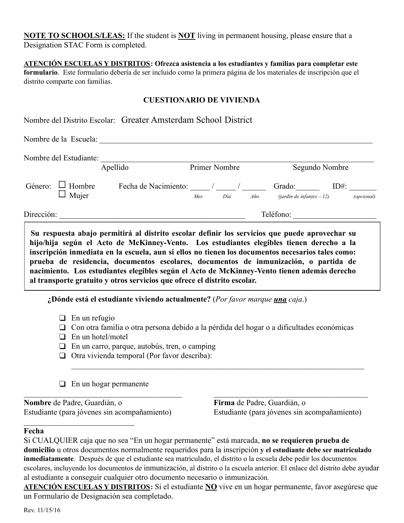**NOTE TO SCHOOLS/LEAS:** If the student is **NOT** living in permanent housing, please ensure that a Designation STAC Form is completed.

**ATENCIÓN ESCUELAS Y DISTRITOS: Ofrezca asistencia a los estudiantes y familias para completar este formulario**. Este formulario debería de ser incluido como la primera página de los materiales de inscripción que el distrito comparte con familias.

# **CUESTIONARIO DE VIVIENDA**

|                                       | Nombre de la Escuela:                                                                                                                                                                                                                                                                           |               |  |                                                     |                |  |
|---------------------------------------|-------------------------------------------------------------------------------------------------------------------------------------------------------------------------------------------------------------------------------------------------------------------------------------------------|---------------|--|-----------------------------------------------------|----------------|--|
|                                       | Nombre del Estudiante:<br>Apellido                                                                                                                                                                                                                                                              | Primer Nombre |  |                                                     | Segundo Nombre |  |
| Género: $\Box$ Hombre<br>$\Box$ Mujer | Fecha de Nacimiento: $\sqrt{2\pi/2}$ / $\sqrt{2\pi/2}$ Grado: $\sqrt{2\pi/2}$ ID#:                                                                                                                                                                                                              | Mes Día       |  | $A\tilde{n}$ (jardin de infantes $-12$ ) (opcional) |                |  |
|                                       | Dirección:                                                                                                                                                                                                                                                                                      |               |  | Teléfono:                                           |                |  |
|                                       | Su respuesta abajo permitirá al distrito escolar definir los servicios que puede aprovechar su<br>hijo/hija según el Acto de McKinney-Vento. Los estudiantes elegibles tienen derecho a la<br>inscripción inmediata en la escuela, aun si ellos no tienen los documentos necesarios tales como: |               |  |                                                     |                |  |

**¿Dónde está el estudiante viviendo actualmente?** (*Por favor marque una caja*.)

- ❑ En un refugio
- ❑ Con otra familia o otra persona debido a la pérdida del hogar o a dificultades económicas

 $\mathcal{L}_\text{max} = \frac{1}{2} \sum_{i=1}^n \mathcal{L}_\text{max}(\mathbf{z}_i - \mathbf{z}_i)$ 

- $\Box$  En un hotel/motel
- ❑ En un carro, parque, autobús, tren, o camping

**al transporte gratuito y otros servicios que ofrece el distrito escolar.**

- ❑ Otra vivienda temporal (Por favor describa):
- ❑ En un hogar permanente

**Nombre** de Padre, Guardián, o **Firma** de Padre, Guardián, o

 $\mathcal{L}_\text{max}$ 

Estudiante (para jóvenes sin acompañamiento) Estudiante (para jóvenes sin acompañamiento)

#### **Fecha**

Si CUALQUIER caja que no sea "En un hogar permanente" está marcada, **no se requieren prueba de domicilio** u otros documentos normalmente requeridos para la inscripción **y el estudiante debe ser matriculado inmediatamente**. Después de que el estudiante sea matriculado, el distrito o la escuela debe pedir los documentos escolares, incluyendo los documentos de inmunización, al distrito o la escuela anterior. El enlace del distrito debe ayudar al estudiante a conseguir cualquier otro documento necesario o inmunización.

 $\mathcal{L}_\mathcal{L} = \{ \mathcal{L}_\mathcal{L} = \{ \mathcal{L}_\mathcal{L} = \{ \mathcal{L}_\mathcal{L} = \{ \mathcal{L}_\mathcal{L} = \{ \mathcal{L}_\mathcal{L} = \{ \mathcal{L}_\mathcal{L} = \{ \mathcal{L}_\mathcal{L} = \{ \mathcal{L}_\mathcal{L} = \{ \mathcal{L}_\mathcal{L} = \{ \mathcal{L}_\mathcal{L} = \{ \mathcal{L}_\mathcal{L} = \{ \mathcal{L}_\mathcal{L} = \{ \mathcal{L}_\mathcal{L} = \{ \mathcal{L}_\mathcal{$ 

**ATENCIÓN ESCUELAS Y DISTRITOS:** Si el estudiante **NO** vive en un hogar permanente, favor asegúrese que un Formulario de Designación sea completado.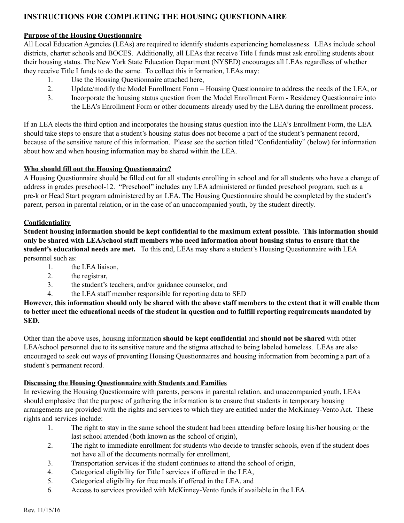# **INSTRUCTIONS FOR COMPLETING THE HOUSING QUESTIONNAIRE**

## **Purpose of the Housing Questionnaire**

All Local Education Agencies (LEAs) are required to identify students experiencing homelessness. LEAs include school districts, charter schools and BOCES. Additionally, all LEAs that receive Title I funds must ask enrolling students about their housing status. The New York State Education Department (NYSED) encourages all LEAs regardless of whether they receive Title I funds to do the same. To collect this information, LEAs may:

- 1. Use the Housing Questionnaire attached here,
- 2. Update/modify the Model Enrollment Form Housing Questionnaire to address the needs of the LEA, or
- 3. Incorporate the housing status question from the Model Enrollment Form Residency Questionnaire into the LEA's Enrollment Form or other documents already used by the LEA during the enrollment process.

If an LEA elects the third option and incorporates the housing status question into the LEA's Enrollment Form, the LEA should take steps to ensure that a student's housing status does not become a part of the student's permanent record, because of the sensitive nature of this information. Please see the section titled "Confidentiality" (below) for information about how and when housing information may be shared within the LEA.

# **Who should fill out the Housing Questionnaire?**

A Housing Questionnaire should be filled out for all students enrolling in school and for all students who have a change of address in grades preschool-12. "Preschool" includes any LEA administered or funded preschool program, such as a pre-k or Head Start program administered by an LEA. The Housing Questionnaire should be completed by the student's parent, person in parental relation, or in the case of an unaccompanied youth, by the student directly.

#### **Confidentiality**

**Student housing information should be kept confidential to the maximum extent possible. This information should only be shared with LEA/school staff members who need information about housing status to ensure that the student's educational needs are met.** To this end, LEAs may share a student's Housing Questionnaire with LEA personnel such as:

- 1. the LEA liaison,
- 2. the registrar,
- 3. the student's teachers, and/or guidance counselor, and
- 4. the LEA staff member responsible for reporting data to SED

However, this information should only be shared with the above staff members to the extent that it will enable them to better meet the educational needs of the student in question and to fulfill reporting requirements mandated by **SED.**

Other than the above uses, housing information **should be kept confidential** and **should not be shared** with other LEA/school personnel due to its sensitive nature and the stigma attached to being labeled homeless. LEAs are also encouraged to seek out ways of preventing Housing Questionnaires and housing information from becoming a part of a student's permanent record.

# **Discussing the Housing Questionnaire with Students and Families**

In reviewing the Housing Questionnaire with parents, persons in parental relation, and unaccompanied youth, LEAs should emphasize that the purpose of gathering the information is to ensure that students in temporary housing arrangements are provided with the rights and services to which they are entitled under the McKinney-Vento Act. These rights and services include:

- 1. The right to stay in the same school the student had been attending before losing his/her housing or the last school attended (both known as the school of origin),
- 2. The right to immediate enrollment for students who decide to transfer schools, even if the student does not have all of the documents normally for enrollment,
- 3. Transportation services if the student continues to attend the school of origin,
- 4. Categorical eligibility for Title I services if offered in the LEA,
- 5. Categorical eligibility for free meals if offered in the LEA, and
- 6. Access to services provided with McKinney-Vento funds if available in the LEA.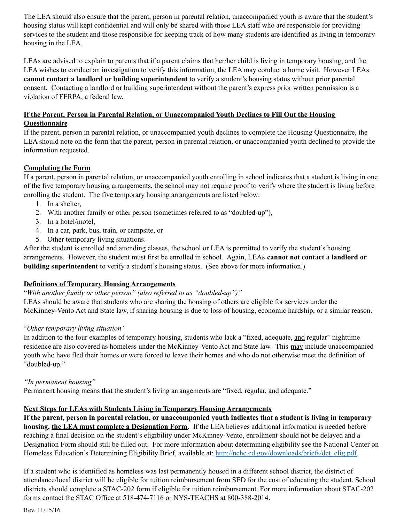The LEA should also ensure that the parent, person in parental relation, unaccompanied youth is aware that the student's housing status will kept confidential and will only be shared with those LEA staff who are responsible for providing services to the student and those responsible for keeping track of how many students are identified as living in temporary housing in the LEA.

LEAs are advised to explain to parents that if a parent claims that her/her child is living in temporary housing, and the LEA wishes to conduct an investigation to verify this information, the LEA may conduct a home visit. However LEAs **cannot contact a landlord or building superintendent** to verify a student's housing status without prior parental consent**.** Contacting a landlord or building superintendent without the parent's express prior written permission is a violation of FERPA, a federal law.

# **If the Parent, Person in Parental Relation, or Unaccompanied Youth Declines to Fill Out the Housing Questionnaire**

If the parent, person in parental relation, or unaccompanied youth declines to complete the Housing Questionnaire, the LEA should note on the form that the parent, person in parental relation, or unaccompanied youth declined to provide the information requested.

# **Completing the Form**

If a parent, person in parental relation, or unaccompanied youth enrolling in school indicates that a student is living in one of the five temporary housing arrangements, the school may not require proof to verify where the student is living before enrolling the student. The five temporary housing arrangements are listed below:

- 1. In a shelter,
- 2. With another family or other person (sometimes referred to as "doubled-up"),
- 3. In a hotel/motel,
- 4. In a car, park, bus, train, or campsite, or
- 5. Other temporary living situations.

After the student is enrolled and attending classes, the school or LEA is permitted to verify the student's housing arrangements. However, the student must first be enrolled in school. Again, LEAs **cannot not contact a landlord or building superintendent** to verify a student's housing status. (See above for more information.)

# **Definitions of Temporary Housing Arrangements**

"*With another family or other person" (also referred to as "doubled-up")"*

LEAs should be aware that students who are sharing the housing of others are eligible for services under the McKinney-Vento Act and State law, if sharing housing is due to loss of housing, economic hardship, or a similar reason.

# "*Other temporary living situation"*

In addition to the four examples of temporary housing, students who lack a "fixed, adequate, and regular" nighttime residence are also covered as homeless under the McKinney-Vento Act and State law. This may include unaccompanied youth who have fled their homes or were forced to leave their homes and who do not otherwise meet the definition of "doubled-up."

# *"In permanent housing"*

Permanent housing means that the student's living arrangements are "fixed, regular, and adequate."

# **Next Steps for LEAs with Students Living in Temporary Housing Arrangements**

If the parent, person in parental relation, or unaccompanied youth indicates that a student is living in temporary **housing, the LEA must complete a Designation Form.** If the LEA believes additional information is needed before reaching a final decision on the student's eligibility under McKinney-Vento, enrollment should not be delayed and a Designation Form should still be filled out. For more information about determining eligibility see the National Center on Homeless Education's Determining Eligibility Brief, available at: [http://nche.ed.gov/downloads/briefs/det\\_elig.pdf.](http://nche.ed.gov/downloads/briefs/det_elig.pdf)

If a student who is identified as homeless was last permanently housed in a different school district, the district of attendance/local district will be eligible for tuition reimbursement from SED for the cost of educating the student. School districts should complete a STAC-202 form if eligible for tuition reimbursement. For more information about STAC-202 forms contact the STAC Office at 518-474-7116 or NYS-TEACHS at 800-388-2014.

Rev. 11/15/16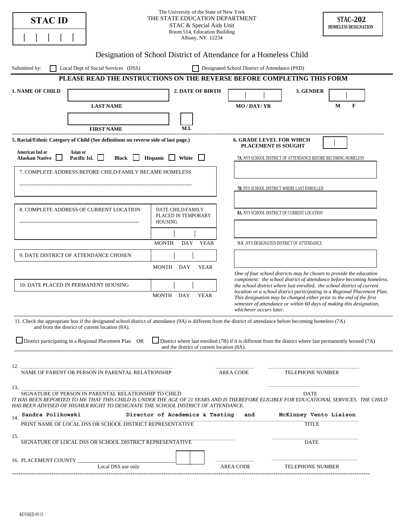| <b>STAC ID</b>                                                                                                                                                                                                                                                                                                                                                                                          |                                                                                                                                                                                                                  | The University of the State of New York<br>THE STATE EDUCATION DEPARTMENT<br>STAC & Special Aids Unit<br>Room 514, Education Building<br>Albany, NY 12234 |                                                                                                                                                      |  |                                                               |                                                                                                                                               |        | <b>STAC-202</b><br>HOMELESS DESIGNATION |  |
|---------------------------------------------------------------------------------------------------------------------------------------------------------------------------------------------------------------------------------------------------------------------------------------------------------------------------------------------------------------------------------------------------------|------------------------------------------------------------------------------------------------------------------------------------------------------------------------------------------------------------------|-----------------------------------------------------------------------------------------------------------------------------------------------------------|------------------------------------------------------------------------------------------------------------------------------------------------------|--|---------------------------------------------------------------|-----------------------------------------------------------------------------------------------------------------------------------------------|--------|-----------------------------------------|--|
| Designation of School District of Attendance for a Homeless Child                                                                                                                                                                                                                                                                                                                                       |                                                                                                                                                                                                                  |                                                                                                                                                           |                                                                                                                                                      |  |                                                               |                                                                                                                                               |        |                                         |  |
| Local Dept of Social Services (DSS)<br>Designated School District of Attendance (PSD)<br>Submitted by:                                                                                                                                                                                                                                                                                                  |                                                                                                                                                                                                                  |                                                                                                                                                           |                                                                                                                                                      |  |                                                               |                                                                                                                                               |        |                                         |  |
| PLEASE READ THE INSTRUCTIONS ON THE REVERSE BEFORE COMPLETING THIS FORM                                                                                                                                                                                                                                                                                                                                 |                                                                                                                                                                                                                  |                                                                                                                                                           |                                                                                                                                                      |  |                                                               |                                                                                                                                               |        |                                         |  |
| <b>1. NAME OF CHILD</b>                                                                                                                                                                                                                                                                                                                                                                                 |                                                                                                                                                                                                                  |                                                                                                                                                           | <b>2. DATE OF BIRTH</b>                                                                                                                              |  |                                                               | 3. GENDER                                                                                                                                     |        |                                         |  |
|                                                                                                                                                                                                                                                                                                                                                                                                         | <b>LAST NAME</b>                                                                                                                                                                                                 |                                                                                                                                                           |                                                                                                                                                      |  | <b>MO/DAY/YR</b>                                              |                                                                                                                                               | F<br>М |                                         |  |
|                                                                                                                                                                                                                                                                                                                                                                                                         |                                                                                                                                                                                                                  |                                                                                                                                                           |                                                                                                                                                      |  |                                                               |                                                                                                                                               |        |                                         |  |
|                                                                                                                                                                                                                                                                                                                                                                                                         |                                                                                                                                                                                                                  |                                                                                                                                                           |                                                                                                                                                      |  |                                                               |                                                                                                                                               |        |                                         |  |
|                                                                                                                                                                                                                                                                                                                                                                                                         | <b>FIRST NAME</b>                                                                                                                                                                                                |                                                                                                                                                           | M.I.                                                                                                                                                 |  |                                                               |                                                                                                                                               |        |                                         |  |
| 5. Racial/Ethnic Category of Child (See definitions on reverse side of last page.)                                                                                                                                                                                                                                                                                                                      |                                                                                                                                                                                                                  |                                                                                                                                                           |                                                                                                                                                      |  | <b>6. GRADE LEVEL FOR WHICH</b><br><b>PLACEMENT IS SOUGHT</b> |                                                                                                                                               |        |                                         |  |
| American Ind or<br><b>Alaskan Native</b>                                                                                                                                                                                                                                                                                                                                                                | Asian or<br>Pacific Isl.<br><b>Black</b>                                                                                                                                                                         | Hispanic $\Box$                                                                                                                                           | White                                                                                                                                                |  |                                                               | 7A. NYS SCHOOL DISTRICT OF ATTENDANCE BEFORE BECOMING HOMELESS                                                                                |        |                                         |  |
|                                                                                                                                                                                                                                                                                                                                                                                                         | 7. COMPLETE ADDRESS BEFORE CHILD/FAMILY BECAME HOMELESS                                                                                                                                                          |                                                                                                                                                           |                                                                                                                                                      |  |                                                               |                                                                                                                                               |        |                                         |  |
|                                                                                                                                                                                                                                                                                                                                                                                                         |                                                                                                                                                                                                                  |                                                                                                                                                           |                                                                                                                                                      |  |                                                               |                                                                                                                                               |        |                                         |  |
|                                                                                                                                                                                                                                                                                                                                                                                                         |                                                                                                                                                                                                                  |                                                                                                                                                           |                                                                                                                                                      |  |                                                               | <b>7B.</b> NYS SCHOOL DISTRICT WHERE LAST ENROLLED                                                                                            |        |                                         |  |
|                                                                                                                                                                                                                                                                                                                                                                                                         |                                                                                                                                                                                                                  |                                                                                                                                                           |                                                                                                                                                      |  |                                                               |                                                                                                                                               |        |                                         |  |
| 8. COMPLETE ADDRESS OF CURRENT LOCATION                                                                                                                                                                                                                                                                                                                                                                 |                                                                                                                                                                                                                  |                                                                                                                                                           | DATE CHILD/FAMILY<br>PLACED IN TEMPORARY                                                                                                             |  |                                                               | 8A. NYS SCHOOL DISTRICT OF CURRENT LOCATION                                                                                                   |        |                                         |  |
|                                                                                                                                                                                                                                                                                                                                                                                                         |                                                                                                                                                                                                                  | <b>HOUSING</b>                                                                                                                                            |                                                                                                                                                      |  |                                                               |                                                                                                                                               |        |                                         |  |
|                                                                                                                                                                                                                                                                                                                                                                                                         |                                                                                                                                                                                                                  |                                                                                                                                                           |                                                                                                                                                      |  |                                                               |                                                                                                                                               |        |                                         |  |
|                                                                                                                                                                                                                                                                                                                                                                                                         |                                                                                                                                                                                                                  | <b>MONTH</b>                                                                                                                                              | DAY YEAR                                                                                                                                             |  |                                                               | 9A .NYS DESIGNATED DISTRICT OF ATTENDANCE                                                                                                     |        |                                         |  |
|                                                                                                                                                                                                                                                                                                                                                                                                         | 9. DATE DISTRICT OF ATTENDANCE CHOSEN                                                                                                                                                                            |                                                                                                                                                           |                                                                                                                                                      |  |                                                               |                                                                                                                                               |        |                                         |  |
|                                                                                                                                                                                                                                                                                                                                                                                                         |                                                                                                                                                                                                                  | MONTH DAY                                                                                                                                                 | YEAR                                                                                                                                                 |  |                                                               |                                                                                                                                               |        |                                         |  |
|                                                                                                                                                                                                                                                                                                                                                                                                         |                                                                                                                                                                                                                  |                                                                                                                                                           |                                                                                                                                                      |  |                                                               | One of four school districts may be chosen to provide the education<br>component: the school district of attendance before becoming homeless, |        |                                         |  |
| 10. DATE PLACED IN PERMANENT HOUSING                                                                                                                                                                                                                                                                                                                                                                    |                                                                                                                                                                                                                  |                                                                                                                                                           | the school district where last enrolled, the school district of current<br>location or a school district participating in a Regional Placement Plan. |  |                                                               |                                                                                                                                               |        |                                         |  |
| DAY<br>MONTH<br><b>YEAR</b><br>This designation may be changed either prior to the end of the first<br>semester of attendance or within 60 days of making this designation,<br>whichever occurs later.                                                                                                                                                                                                  |                                                                                                                                                                                                                  |                                                                                                                                                           |                                                                                                                                                      |  |                                                               |                                                                                                                                               |        |                                         |  |
|                                                                                                                                                                                                                                                                                                                                                                                                         | 11. Check the appropriate box if the designated school district of attendance (9A) is different from the district of attendance before becoming homeless (7A)<br>and from the district of current location (8A). |                                                                                                                                                           |                                                                                                                                                      |  |                                                               |                                                                                                                                               |        |                                         |  |
|                                                                                                                                                                                                                                                                                                                                                                                                         | District participating in a Regional Placement Plan OR                                                                                                                                                           |                                                                                                                                                           |                                                                                                                                                      |  |                                                               | District where last enrolled (7B) if it is different from the district where last permanently housed (7A)                                     |        |                                         |  |
|                                                                                                                                                                                                                                                                                                                                                                                                         |                                                                                                                                                                                                                  |                                                                                                                                                           | and the district of current location (8A).                                                                                                           |  |                                                               |                                                                                                                                               |        |                                         |  |
|                                                                                                                                                                                                                                                                                                                                                                                                         |                                                                                                                                                                                                                  |                                                                                                                                                           |                                                                                                                                                      |  |                                                               |                                                                                                                                               |        |                                         |  |
| $12. \  \  \, \ldots \  \  \, \ldots \  \  \, \ldots \  \  \, \ldots \  \  \, \ldots \  \  \, \ldots \  \  \, \ldots \  \  \, \ldots \  \  \, \ldots \  \  \, \ldots \  \  \, \ldots \  \  \, \ldots \  \  \, \ldots \  \  \, \ldots \  \  \, \ldots \  \  \, \ldots \  \  \, \ldots \  \  \, \ldots \  \  \, \ldots \  \  \, \ldots \  \  \, \ldots \  \  \, \ldots \  \  \, \ldots \  \  \, \ldots \$ | NAME OF PARENT OR PERSON IN PARENTAL RELATIONSHIP                                                                                                                                                                |                                                                                                                                                           |                                                                                                                                                      |  | AREA CODE                                                     | <b>TELEPHONE NUMBER</b>                                                                                                                       |        |                                         |  |
| 13.<br>SIGNATURE OF PERSON IN PARENTAL RELATIONSHIP TO CHILD<br>DATE<br>IT HAS BEEN REPORTED TO ME THAT THIS CHILD IS UNDER THE AGE OF 21 YEARS AND IS THEREFORE ELIGIBLE FOR EDUCATIONAL SERVICES.  THE CHILD<br>HAS BEEN ADVISED OF HIS/HER RIGHT TO DESIGNATE THE SCHOOL DISTRICT OF ATTENDANCE.                                                                                                     |                                                                                                                                                                                                                  |                                                                                                                                                           |                                                                                                                                                      |  |                                                               |                                                                                                                                               |        |                                         |  |
| 14.                                                                                                                                                                                                                                                                                                                                                                                                     |                                                                                                                                                                                                                  |                                                                                                                                                           |                                                                                                                                                      |  |                                                               | McKinney Vento Liaison                                                                                                                        |        |                                         |  |
|                                                                                                                                                                                                                                                                                                                                                                                                         | DILECTOR OF ACADEMICS & Testing and McKinney V<br>PRINT NAME OF LOCAL DSS OR SCHOOL DISTRICT REPRESENTATIVE<br><b>TITLE</b>                                                                                      |                                                                                                                                                           |                                                                                                                                                      |  |                                                               |                                                                                                                                               |        |                                         |  |
| 15.                                                                                                                                                                                                                                                                                                                                                                                                     | SIGNATURE OF LOCAL DSS OR SCHOOL DISTRICT REPRESENTATIVE                                                                                                                                                         |                                                                                                                                                           |                                                                                                                                                      |  |                                                               | <b>DATE</b>                                                                                                                                   |        |                                         |  |
|                                                                                                                                                                                                                                                                                                                                                                                                         |                                                                                                                                                                                                                  |                                                                                                                                                           |                                                                                                                                                      |  |                                                               |                                                                                                                                               |        |                                         |  |
|                                                                                                                                                                                                                                                                                                                                                                                                         | Local DSS use only                                                                                                                                                                                               |                                                                                                                                                           |                                                                                                                                                      |  | AREA CODE                                                     | <b>TELEPHONE NUMBER</b>                                                                                                                       |        |                                         |  |
|                                                                                                                                                                                                                                                                                                                                                                                                         |                                                                                                                                                                                                                  |                                                                                                                                                           |                                                                                                                                                      |  |                                                               |                                                                                                                                               |        |                                         |  |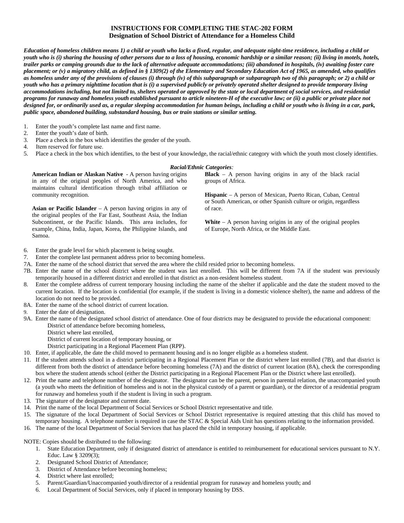#### **INSTRUCTIONS FOR COMPLETING THE STAC-202 FORM Designation of School District of Attendance for a Homeless Child**

*Education of homeless children means 1) a child or youth who lacks a fixed, regular, and adequate night-time residence, including a child or youth who is (i) sharing the housing of other persons due to a loss of housing, economic hardship or a similar reason; (ii) living in motels, hotels, trailer parks or camping grounds due to the lack of alternative adequate accommodations; (iii) abandoned in hospitals, (iv) awaiting foster care placement; or (v) a migratory child, as defined in § 1309(2) of the Elementary and Secondary Education Act of 1965, as amended, who qualifies as homeless under any of the provisions of clauses (i) through (iv) of this subparagraph or subparagraph two of this paragraph; or 2) a child or youth who has a primary nighttime location that is (i) a supervised publicly or privately operated shelter designed to provide temporary living accommodations including, but not limited to, shelters operated or approved by the state or local department of social services, and residential programs for runaway and homeless youth established pursuant to article nineteen-H of the executive law; or (ii) a public or private place not designed for, or ordinarily used as, a regular sleeping accommodation for human beings, including a child or youth who is living in a car, park, public space, abandoned building, substandard housing, bus or train stations or similar setting.* 

- 1. Enter the youth's complete last name and first name.
- 2. Enter the youth's date of birth.
- 3. Place a check in the box which identifies the gender of the youth.

**American Indian or Alaskan Native** - A person having origins in any of the original peoples of North America, and who maintains cultural identification through tribal affiliation or

**Asian or Pacific Islander** – A person having origins in any of the original peoples of the Far East, Southeast Asia, the Indian Subcontinent, or the Pacific Islands. This area includes, for example, China, India, Japan, Korea, the Philippine Islands, and

4. Item reserved for future use.

community recognition.

Samoa.

5. Place a check in the box which identifies, to the best of your knowledge, the racial/ethnic category with which the youth most closely identifies.

#### *Racial/Ethnic Categories:*

**Black** – A person having origins in any of the black racial groups of Africa.

**Hispanic** – A person of Mexican, Puerto Rican, Cuban, Central or South American, or other Spanish culture or origin, regardless of race.

**White** – A person having origins in any of the original peoples of Europe, North Africa, or the Middle East.

- 6. Enter the grade level for which placement is being sought.
- 7. Enter the complete last permanent address prior to becoming homeless.
- 7A. Enter the name of the school district that served the area where the child resided prior to becoming homeless.
- 7B. Enter the name of the school district where the student was last enrolled. This will be different from 7A if the student was previously temporarily housed in a different district and enrolled in that district as a non-resident homeless student.
- 8. Enter the complete address of current temporary housing including the name of the shelter if applicable and the date the student moved to the current location. If the location is confidential (for example, if the student is living in a domestic violence shelter), the name and address of the location do not need to be provided.
- 8A. Enter the name of the school district of current location.
- 9. Enter the date of designation.
- 9A. Enter the name of the designated school district of attendance. One of four districts may be designated to provide the educational component: District of attendance before becoming homeless,
	- District where last enrolled,
	- District of current location of temporary housing, or
	- District participating in a Regional Placement Plan (RPP).
- 10. Enter, if applicable, the date the child moved to permanent housing and is no longer eligible as a homeless student.
- 11. If the student attends school in a district participating in a Regional Placement Plan or the district where last enrolled (7B), and that district is different from both the district of attendance before becoming homeless (7A) and the district of current location (8A), check the corresponding box where the student attends school (either the District participating in a Regional Placement Plan or the District where last enrolled).
- 12. Print the name and telephone number of the designator. The designator can be the parent, person in parental relation, the unaccompanied youth (a youth who meets the definition of homeless and is not in the physical custody of a parent or guardian), or the director of a residential program for runaway and homeless youth if the student is living in such a program.
- 13. The signature of the designator and current date.
- 14. Print the name of the local Department of Social Services or School District representative and title.
- 15. The signature of the local Department of Social Services or School District representative is required attesting that this child has moved to temporary housing. A telephone number is required in case the STAC  $\&$  Special Aids Unit has questions relating to the information provided.
- 16. The name of the local Department of Social Services that has placed the child in temporary housing, if applicable.

NOTE: Copies should be distributed to the following:

- 1. State Education Department, only if designated district of attendance is entitled to reimbursement for educational services pursuant to N.Y. Educ. Law § 3209(3);
- 2. Designated School District of Attendance;
- 3. District of Attendance before becoming homeless;
- 4. District where last enrolled;
- 5. Parent/Guardian/Unaccompanied youth/director of a residential program for runaway and homeless youth; and
- 6. Local Department of Social Services, only if placed in temporary housing by DSS.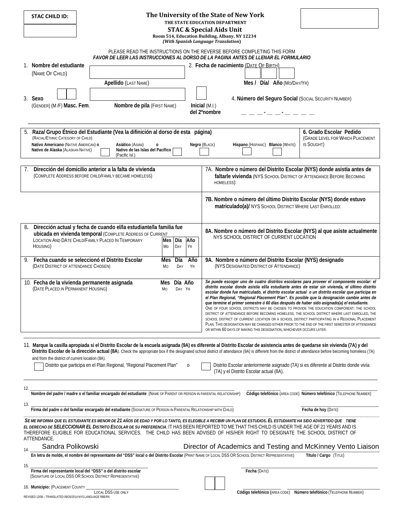|     | STAC CHILD ID:                                                            |                                                                                                                     |                          |           | The University of the State of New York                                                                                                                                                                                                                                                                                                                                                                                                                                                                                                                                                                                                                                                                                                                                                                                                                                                                                                                                   |
|-----|---------------------------------------------------------------------------|---------------------------------------------------------------------------------------------------------------------|--------------------------|-----------|---------------------------------------------------------------------------------------------------------------------------------------------------------------------------------------------------------------------------------------------------------------------------------------------------------------------------------------------------------------------------------------------------------------------------------------------------------------------------------------------------------------------------------------------------------------------------------------------------------------------------------------------------------------------------------------------------------------------------------------------------------------------------------------------------------------------------------------------------------------------------------------------------------------------------------------------------------------------------|
|     |                                                                           |                                                                                                                     |                          |           | THE STATE EDUCATION DEPARTMENT                                                                                                                                                                                                                                                                                                                                                                                                                                                                                                                                                                                                                                                                                                                                                                                                                                                                                                                                            |
|     |                                                                           |                                                                                                                     |                          |           | <b>STAC &amp; Special Aids Unit</b><br>Room 514, Education Building, Albany, NY 12234                                                                                                                                                                                                                                                                                                                                                                                                                                                                                                                                                                                                                                                                                                                                                                                                                                                                                     |
|     |                                                                           |                                                                                                                     |                          |           | (With Spanish Language Translation)                                                                                                                                                                                                                                                                                                                                                                                                                                                                                                                                                                                                                                                                                                                                                                                                                                                                                                                                       |
|     |                                                                           |                                                                                                                     |                          |           | PLEASE READ THE INSTRUCTIONS ON THE REVERSE BEFORE COMPLETING THIS FORM<br>FAVOR DE LEER LAS INSTRUCCIONES AL DORSO DE LA PAGINA ANTES DE LLENAR EL FORMULARIO                                                                                                                                                                                                                                                                                                                                                                                                                                                                                                                                                                                                                                                                                                                                                                                                            |
|     | 1. Nombre del estudiante                                                  |                                                                                                                     |                          |           | 2. Fecha de nacimiento (DATE OF BIRTH)                                                                                                                                                                                                                                                                                                                                                                                                                                                                                                                                                                                                                                                                                                                                                                                                                                                                                                                                    |
|     | (NAME OF CHILD)                                                           |                                                                                                                     |                          |           |                                                                                                                                                                                                                                                                                                                                                                                                                                                                                                                                                                                                                                                                                                                                                                                                                                                                                                                                                                           |
|     |                                                                           | Apellido (LAST NAME)                                                                                                |                          |           | Mes / Día/ Año (Mo/DAY/YR)                                                                                                                                                                                                                                                                                                                                                                                                                                                                                                                                                                                                                                                                                                                                                                                                                                                                                                                                                |
|     |                                                                           |                                                                                                                     |                          |           |                                                                                                                                                                                                                                                                                                                                                                                                                                                                                                                                                                                                                                                                                                                                                                                                                                                                                                                                                                           |
|     | 3. Sexo                                                                   |                                                                                                                     |                          |           | 4. Número del Seguro Social (Social Security NUMBER)                                                                                                                                                                                                                                                                                                                                                                                                                                                                                                                                                                                                                                                                                                                                                                                                                                                                                                                      |
|     | (GENDER) (M/F) Masc. Fem.                                                 | Nombre de pila (FIRST NAME)                                                                                         |                          |           | Inicial (M.I.)<br>del 2ºnombre                                                                                                                                                                                                                                                                                                                                                                                                                                                                                                                                                                                                                                                                                                                                                                                                                                                                                                                                            |
|     |                                                                           |                                                                                                                     |                          |           | المستحدث المستحدث المستحدث المستحدث                                                                                                                                                                                                                                                                                                                                                                                                                                                                                                                                                                                                                                                                                                                                                                                                                                                                                                                                       |
|     |                                                                           |                                                                                                                     |                          |           |                                                                                                                                                                                                                                                                                                                                                                                                                                                                                                                                                                                                                                                                                                                                                                                                                                                                                                                                                                           |
| 5.  |                                                                           | Raza/ Grupo Étnico del Estudiante (Vea la difinición al dorso de esta página)                                       |                          |           | 6. Grado Escolar Pedido                                                                                                                                                                                                                                                                                                                                                                                                                                                                                                                                                                                                                                                                                                                                                                                                                                                                                                                                                   |
|     | (RACIAL/ETHNIC CATEGORY OF CHILD)<br>Nativo Americano (NATIVE AMERICAN) o | Asiático (ASIAN)<br>0                                                                                               |                          |           | (GRADE LEVEL FOR WHICH PLACEMENT<br>Negro (BLACK)<br>IS SOUGHT)<br>Hispano (HISPANIC) Blanco (WHITE)                                                                                                                                                                                                                                                                                                                                                                                                                                                                                                                                                                                                                                                                                                                                                                                                                                                                      |
|     | Nativo de Alaska (ALASKAN NATIVE)                                         | Nativo de las Islas del Pacífico                                                                                    |                          |           |                                                                                                                                                                                                                                                                                                                                                                                                                                                                                                                                                                                                                                                                                                                                                                                                                                                                                                                                                                           |
|     |                                                                           | (Pacific Isl.)                                                                                                      |                          |           |                                                                                                                                                                                                                                                                                                                                                                                                                                                                                                                                                                                                                                                                                                                                                                                                                                                                                                                                                                           |
|     |                                                                           |                                                                                                                     |                          |           |                                                                                                                                                                                                                                                                                                                                                                                                                                                                                                                                                                                                                                                                                                                                                                                                                                                                                                                                                                           |
|     |                                                                           | Dirección del domicilio anterior a la falta de vivienda<br>(COMPLETE ADDRESS BEFORE CHILD/FAMILY BECAME HOMELESS)   |                          |           | 7A. Nombre o número del Distrito Escolar (NYS) donde asistía antes de<br>faltarle vivienda (NYS SCHOOL DISTRICT OF ATTENDANCE BEFORE BECOMING                                                                                                                                                                                                                                                                                                                                                                                                                                                                                                                                                                                                                                                                                                                                                                                                                             |
|     |                                                                           |                                                                                                                     |                          |           | HOMELESS):                                                                                                                                                                                                                                                                                                                                                                                                                                                                                                                                                                                                                                                                                                                                                                                                                                                                                                                                                                |
|     |                                                                           |                                                                                                                     |                          |           |                                                                                                                                                                                                                                                                                                                                                                                                                                                                                                                                                                                                                                                                                                                                                                                                                                                                                                                                                                           |
|     |                                                                           |                                                                                                                     |                          |           | 7B. Nombre o número del último Distrito Escolar (NYS) donde estuvo                                                                                                                                                                                                                                                                                                                                                                                                                                                                                                                                                                                                                                                                                                                                                                                                                                                                                                        |
|     |                                                                           |                                                                                                                     |                          |           | matriculado(a)/ NYS SCHOOL DISTRICT WHERE LAST ENROLLED:                                                                                                                                                                                                                                                                                                                                                                                                                                                                                                                                                                                                                                                                                                                                                                                                                                                                                                                  |
|     |                                                                           |                                                                                                                     |                          |           |                                                                                                                                                                                                                                                                                                                                                                                                                                                                                                                                                                                                                                                                                                                                                                                                                                                                                                                                                                           |
|     |                                                                           |                                                                                                                     |                          |           |                                                                                                                                                                                                                                                                                                                                                                                                                                                                                                                                                                                                                                                                                                                                                                                                                                                                                                                                                                           |
| 8.  |                                                                           | Dirección actual y fecha de cuando el/la estudiante/la familia fue                                                  |                          |           | 8A. Nombre o número del Distrito Escolar (NYS) al que asiste actualmente                                                                                                                                                                                                                                                                                                                                                                                                                                                                                                                                                                                                                                                                                                                                                                                                                                                                                                  |
|     |                                                                           | ubicada en vivienda temporal (COMPLETE ADDRESS OF CURRENT<br>LOCATION AND DATE CHILD/FAMILY PLACED IN TEMPORARY     | Día<br>Mes               | Año       | NYS SCHOOL DISTRICT OF CURRENT LOCATION                                                                                                                                                                                                                                                                                                                                                                                                                                                                                                                                                                                                                                                                                                                                                                                                                                                                                                                                   |
|     | HOUSING)                                                                  |                                                                                                                     | Mo<br>DAY                | YR        |                                                                                                                                                                                                                                                                                                                                                                                                                                                                                                                                                                                                                                                                                                                                                                                                                                                                                                                                                                           |
|     |                                                                           |                                                                                                                     |                          |           |                                                                                                                                                                                                                                                                                                                                                                                                                                                                                                                                                                                                                                                                                                                                                                                                                                                                                                                                                                           |
| 9.  |                                                                           | Fecha cuando se seleccionó el Distrito Escolar                                                                      | Mes<br>Día               | Año       | 9A. Nombre o número del Distrito Escolar (NYS) designado                                                                                                                                                                                                                                                                                                                                                                                                                                                                                                                                                                                                                                                                                                                                                                                                                                                                                                                  |
|     | (DATE DISTRICT OF ATTENDANCE CHOSEN)                                      |                                                                                                                     | Mo<br>DAY                | <b>YR</b> | (NYS DESIGNATED DISTRICT OF ATTENDANCE)                                                                                                                                                                                                                                                                                                                                                                                                                                                                                                                                                                                                                                                                                                                                                                                                                                                                                                                                   |
|     |                                                                           |                                                                                                                     |                          |           |                                                                                                                                                                                                                                                                                                                                                                                                                                                                                                                                                                                                                                                                                                                                                                                                                                                                                                                                                                           |
|     | (DATE PLACED IN PERMANENT HOUSING)                                        | 10. Fecha de la vivienda permanente asignada<br>Mo                                                                  | Día Año<br>Mes<br>DAY YR |           | Se puede escoger uno de cuatro distritos escolares para proveer el componente escolar: el<br>distrito escolar donde asistía el/la estudiante antes de estar sin vivienda, el último distrito<br>escolar donde fue matriculado, el distrito escolar actual o un distrito escolar que participa en<br>el Plan Regional, "Regional Placement Plan". Es posible que la designación cambie antes de<br>que termine el primer semestre ó 60 días después de haber sido asignado(a) el estudiante.<br>One of four school districts may be chosen to provide the education component: the school<br>DISTRICT OF ATTENDANCE BEFORE BECOMING HOMELESS, THE SCHOOL DISTRICT WHERE LAST ENROLLED, THE<br>SCHOOL DISTRICT OF CURRENT LOCATION OR A SCHOOL DISTRICT PARTICIPATING IN A REGIONAL PLACEMENT<br>PLAN. THIS DESIGNATION MAY BE CHANGED EITHER PRIOR TO THE END OF THE FIRST SEMESTER OF ATTENDANCE<br>OR WITHIN 60 DAYS OF MAKING THIS DESIGNATION, WHICHEVER OCCURS LATER. |
|     |                                                                           |                                                                                                                     |                          |           |                                                                                                                                                                                                                                                                                                                                                                                                                                                                                                                                                                                                                                                                                                                                                                                                                                                                                                                                                                           |
|     |                                                                           |                                                                                                                     |                          |           | 11. Marque la casilla apropiada si el Distrito Escolar de la escuela asignada (9A) es diferente al Distrito Escolar de asistencia antes de quedarse sin vivienda (7A) y del                                                                                                                                                                                                                                                                                                                                                                                                                                                                                                                                                                                                                                                                                                                                                                                               |
|     |                                                                           |                                                                                                                     |                          |           | Distrito Escolar de la dirección actual (8A). Check the appropriate box if the designated school district of attendance (9A) is different from the district of attendance before becoming homeless (7A)                                                                                                                                                                                                                                                                                                                                                                                                                                                                                                                                                                                                                                                                                                                                                                   |
|     | and from the district of current location (8A).                           |                                                                                                                     |                          |           |                                                                                                                                                                                                                                                                                                                                                                                                                                                                                                                                                                                                                                                                                                                                                                                                                                                                                                                                                                           |
|     |                                                                           | Distrito que participa en el Plan Regional, "Regional Placement Plan"                                               |                          | $\Omega$  | Distrito Escolar anteriormente asignado (7A) si es diferente al Distrito donde vivía<br>(7A) y el Distrito Escolar actual (8A).                                                                                                                                                                                                                                                                                                                                                                                                                                                                                                                                                                                                                                                                                                                                                                                                                                           |
|     |                                                                           |                                                                                                                     |                          |           |                                                                                                                                                                                                                                                                                                                                                                                                                                                                                                                                                                                                                                                                                                                                                                                                                                                                                                                                                                           |
|     |                                                                           |                                                                                                                     |                          |           |                                                                                                                                                                                                                                                                                                                                                                                                                                                                                                                                                                                                                                                                                                                                                                                                                                                                                                                                                                           |
| 12. |                                                                           | Nombre del padre / madre o el familiar encargado del estudiante (NAME OF PARENT OR PERSON IN PARENTAL RELATIONSHIP) |                          |           | Código telefónico (AREA CODE) Número telefónico (TELEPHONE NUMBER)                                                                                                                                                                                                                                                                                                                                                                                                                                                                                                                                                                                                                                                                                                                                                                                                                                                                                                        |
|     |                                                                           |                                                                                                                     |                          |           |                                                                                                                                                                                                                                                                                                                                                                                                                                                                                                                                                                                                                                                                                                                                                                                                                                                                                                                                                                           |
| 13. |                                                                           | Firma del padre o del familiar encargado del estudiante (SIGNATURE OF PERSON IN PARENTAL RELATIONSHIP WITH CHILD)   |                          |           | Fecha de hoy (DATE)                                                                                                                                                                                                                                                                                                                                                                                                                                                                                                                                                                                                                                                                                                                                                                                                                                                                                                                                                       |
|     |                                                                           |                                                                                                                     |                          |           |                                                                                                                                                                                                                                                                                                                                                                                                                                                                                                                                                                                                                                                                                                                                                                                                                                                                                                                                                                           |
|     | ATTENDANCE.                                                               |                                                                                                                     |                          |           | SE ME INFORMA QUE EL ESTUDIANTE ES MENOR DE 21 AÑOS DE EDAD Y POR LO TANTO, ES ELEGIBLE A RECIBIR UN PLAN DE ESTUDIOS. EL ESTUDIANTE HA SIDO ADVERTIDO QUE TIENE<br>EL DERECHO DE SELECCIONAR EL DISTRITO ESCOLAR DE SU PREFERENCIA. IT HAS BEEN REPORTED TO ME THAT THIS CHILD IS UNDER THE AGE OF 21 YEARS AND IS<br>THEREFORE ELIGIBLE FOR EDUCATIONAL SERVICES. THE CHILD HAS BEEN ADVISED OF HIS/HER RIGHT TO DESIGNATE THE SCHOOL DISTRICT OF                                                                                                                                                                                                                                                                                                                                                                                                                                                                                                                       |
|     | Sandra Polikowski                                                         |                                                                                                                     |                          |           | Director of Academics and Testing and McKinney Vento Liaison                                                                                                                                                                                                                                                                                                                                                                                                                                                                                                                                                                                                                                                                                                                                                                                                                                                                                                              |
|     |                                                                           |                                                                                                                     |                          |           | En letra de molde, el nombre del representante del "DSS" local o del Distrito Escolar (PRINT NAME OF LOCAL DSS OR SCHOOL DISTRICT REPRESENTATIVE)<br>Título / Cargo (TITLE)                                                                                                                                                                                                                                                                                                                                                                                                                                                                                                                                                                                                                                                                                                                                                                                               |
| 15. |                                                                           |                                                                                                                     |                          |           |                                                                                                                                                                                                                                                                                                                                                                                                                                                                                                                                                                                                                                                                                                                                                                                                                                                                                                                                                                           |
|     |                                                                           | Firma del representante local del "DSS" o del distrito escolar                                                      |                          |           | Fecha (DATE)                                                                                                                                                                                                                                                                                                                                                                                                                                                                                                                                                                                                                                                                                                                                                                                                                                                                                                                                                              |
|     |                                                                           | (SIGNATURE OF LOCAL DSS OR SCHOOL DISTRICT REPRESENTATIVE)                                                          |                          |           |                                                                                                                                                                                                                                                                                                                                                                                                                                                                                                                                                                                                                                                                                                                                                                                                                                                                                                                                                                           |
|     | 16. Municipio: (PLACEMENT COUNTY _                                        |                                                                                                                     |                          |           |                                                                                                                                                                                                                                                                                                                                                                                                                                                                                                                                                                                                                                                                                                                                                                                                                                                                                                                                                                           |
|     | REVISED 12/06 - TRANSLATED 09/26/2014 NYS LANGUAGE RBERN                  | <b>LOCAL DSS USE ONLY</b>                                                                                           |                          |           | Código telefónico (AREA CODE) Número telefónico (TELEPHONE NUMBER)                                                                                                                                                                                                                                                                                                                                                                                                                                                                                                                                                                                                                                                                                                                                                                                                                                                                                                        |
|     |                                                                           |                                                                                                                     |                          |           |                                                                                                                                                                                                                                                                                                                                                                                                                                                                                                                                                                                                                                                                                                                                                                                                                                                                                                                                                                           |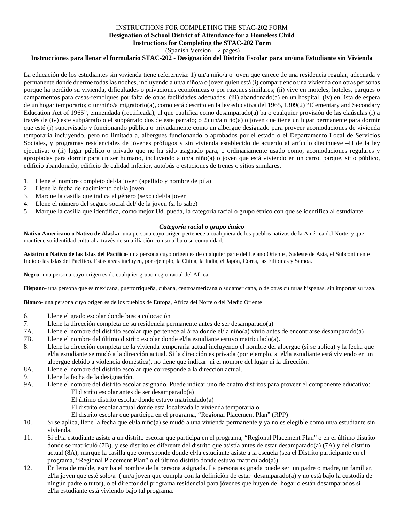#### INSTRUCTIONS FOR COMPLETING THE STAC-202 FORM **Designation of School District of Attendance for a Homeless Child Instructions for Completing the STAC-202 Form**

(Spanish Version – 2 pages)

#### **Instrucciones para llenar el formulario STAC-202 - Designación del Distrito Escolar para un/una Estudiante sin Vivienda**

La educación de los estudiantes sin vivienda tiene referernvia: 1) un/a niño/a o joven que carece de una residencia regular, adecuada y permanente donde duerme todas las noches, incluyendo a un/a niño/a o joven quien está (i) compartiendo una vivienda con otras personas porque ha perdido su vivienda, dificultades o privaciones económicas o por razones similares; (ii) vive en moteles, hoteles, parques o campamentos para casas-remolques por falta de otras facilidades adecuadas (iii) abandonado(a) en un hospital, (iv) en lista de espera de un hogar temporario; o un/niño/a migratorio(a), como está descrito en la ley educativa del 1965, 1309(2) "Elementary and Secondary Education Act of 1965", enmendada (rectificada), al que cualifica como desamparado(a) bajo cualquier provisión de las claúsulas (i) a través de (iv) este subpárrafo o el subpárrafo dos de este párrafo; o 2) un/a niño(a) o joven que tiene un lugar permanente para dormir que esté (i) supervisado y funcionando pública o privadamente como un albergue designado para proveer acomodaciones de vivienda temporaria incluyendo, pero no limitada a, albergues funcionando o aprobados por el estado o el Departamento Local de Servicios Sociales, y programas residenciales de jóvenes prófugos y sin vivienda establecido de acuerdo al artículo diecinueve -H de la lev ejecutiva; o (ii) lugar público o privado que no ha sido asignado para, o ordinariamente usado como, acomodaciones regulares y apropiadas para dormir para un ser humano, incluyendo a un/a niño(a) o joven que está viviendo en un carro, parque, sitio público, edificio abandonado, edificio de calidad inferior, autobús o estaciones de trenes o sitios similares.

- 1. Llene el nombre completo del/la joven (apellido y nombre de pila)
- 2. Llene la fecha de nacimiento del/la joven
- 3. Marque la casilla que indica el género (sexo) del/la joven
- 4. Llene el número del seguro social del/ de la joven (si lo sabe)
- 5. Marque la casilla que identifica, como mejor Ud. pueda, la categoría racial o grupo étnico con que se identifica al estudiante.

#### *Categoría racial o grupo étnico*

**Nativo Americano o Nativo de Alaska-** una persona cuyo origen pertenece a cualquiera de los pueblos nativos de la América del Norte, y que mantiene su identidad cultural a través de su afiliación con su tribu o su comunidad.

**Asiático o Nativo de las Islas del Pacífico-** una persona cuyo origen es de cualquier parte del Lejano Oriente , Sudeste de Asia, el Subcontinente Indio o las Islas del Pacífico. Estas áreas incluyen, por ejemplo, la China, la India, el Japón, Corea, las Filipinas y Samoa.

**Negro-** una persona cuyo origen es de cualquier grupo negro racial del Africa.

**Hispano-** una persona que es mexicana, puertorriqueña, cubana, centroamericana o sudamericana, o de otras culturas hispanas, sin importar su raza.

**Blanco-** una persona cuyo origen es de los pueblos de Europa, Africa del Norte o del Medio Oriente

- 6. Llene el grado escolar donde busca colocación
- 7. Llene la dirección completa de su residencia permanente antes de ser desamparado(a)
- 7A. Llene el nombre del distrito escolar que pertenece al área donde el/la niño(a) vivió antes de encontrarse desamparado(a)
- 7B. Llene el nombre del último distrito escolar donde el/la estudiante estuvo matriculado(a).
- 8. Llene la dirección completa de la vivienda temporaria actual incluyendo el nombre del albergue (si se aplica) y la fecha que el/la estudiante se mudó a la dirección actual. Si la dirección es privada (por ejemplo, si el/la estudiante está viviendo en un albergue debido a violencia doméstica), no tiene que indicar ni el nombre del lugar ni la dirección.
- 8A. Llene el nombre del distrito escolar que corresponde a la dirección actual.
- 9. Llene la fecha de la designación.
- 9A. Llene el nombre del distrito escolar asignado. Puede indicar uno de cuatro distritos para proveer el componente educativo: El distrito escolar antes de ser desamparado(a)
	- El último distrito escolar donde estuvo matriculado(a)
	- El distrito escolar actual donde está localizada la vivienda temporaria o
	- El distrito escolar que participa en el programa, "Regional Placement Plan" (RPP)
- 10. Si se aplica, llene la fecha que el/la niño(a) se mudó a una vivienda permanente y ya no es elegible como un/a estudiante sin vivienda.
- 11. Si el/la estudiante asiste a un distrito escolar que participa en el programa, "Regional Placement Plan" o en el último distrito donde se matriculó (7B), y ese distrito es diferente del distrito que asistía antes de estar desamparado(a) (7A) y del distrito actual (8A), marque la casilla que corresponde donde el/la estudiante asiste a la escuela (sea el Distrito participante en el programa, "Regional Placement Plan" o el último distrito donde estuvo matriculado(a)).
- 12. En letra de molde, escriba el nombre de la persona asignada. La persona asignada puede ser un padre o madre, un familiar, el/la joven que esté solo/a ( un/a joven que cumpla con la definición de estar desamparado(a) y no está bajo la custodia de ningún padre o tutor), o el director del programa residencial para jóvenes que huyen del hogar o están desamparados si el/la estudiante está viviendo bajo tal programa.